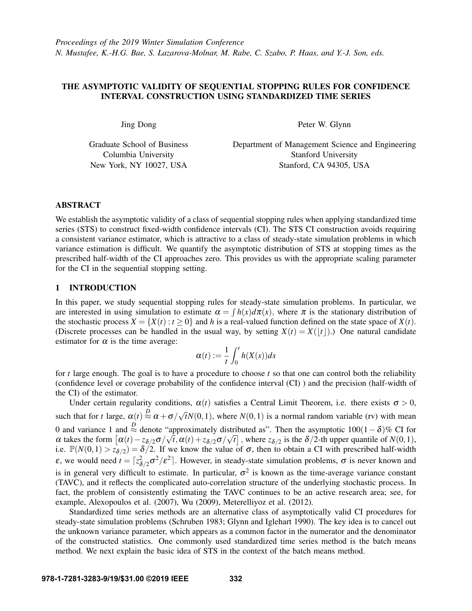# THE ASYMPTOTIC VALIDITY OF SEQUENTIAL STOPPING RULES FOR CONFIDENCE INTERVAL CONSTRUCTION USING STANDARDIZED TIME SERIES

Jing Dong

Graduate School of Business Columbia University New York, NY 10027, USA

Peter W. Glynn

Department of Management Science and Engineering Stanford University Stanford, CA 94305, USA

# ABSTRACT

We establish the asymptotic validity of a class of sequential stopping rules when applying standardized time series (STS) to construct fixed-width confidence intervals (CI). The STS CI construction avoids requiring a consistent variance estimator, which is attractive to a class of steady-state simulation problems in which variance estimation is difficult. We quantify the asymptotic distribution of STS at stopping times as the prescribed half-width of the CI approaches zero. This provides us with the appropriate scaling parameter for the CI in the sequential stopping setting.

# <span id="page-0-0"></span>1 INTRODUCTION

In this paper, we study sequential stopping rules for steady-state simulation problems. In particular, we are interested in using simulation to estimate  $\alpha = \int h(x) d\pi(x)$ , where  $\pi$  is the stationary distribution of the stochastic process  $X = \{X(t) : t \ge 0\}$  and *h* is a real-valued function defined on the state space of  $X(t)$ . (Discrete processes can be handled in the usual way, by setting  $X(t) = X(|t|)$ .) One natural candidate estimator for  $\alpha$  is the time average:

$$
\alpha(t) := \frac{1}{t} \int_0^t h(X(s)) ds
$$

for *t* large enough. The goal is to have a procedure to choose *t* so that one can control both the reliability (confidence level or coverage probability of the confidence interval (CI) ) and the precision (half-width of the CI) of the estimator.

Under certain regularity conditions,  $\alpha(t)$  satisfies a Central Limit Theorem, i.e. there exists  $\sigma > 0$ , such that for *t* large,  $\alpha(t) \stackrel{D}{\approx} \alpha + \sigma/$ √  $\overline{t}N(0,1)$ , where  $N(0,1)$  is a normal random variable (rv) with mean 0 and variance 1 and <sup>*D*</sup> denote "approximately distributed as". Then the asymptotic 100(1 – δ)% CI for  $\alpha$  takes the form  $\left[\alpha(t) - z_{\delta/2}\sigma/\sqrt{t}, \alpha(t) + z_{\delta/2}\sigma/\sqrt{t}\right]$ , where  $z_{\delta/2}$  is the  $\delta/2$ -th upper quantile of  $N(0,1)$ , i.e.  $\mathbb{P}(N(0,1) > z_{\delta/2}) = \delta/2$ . If we know the value of  $\sigma$ , then to obtain a CI with prescribed half-width  $\varepsilon$ , we would need  $t = \lceil z_{\delta/2}^2 \sigma^2 / \varepsilon^2 \rceil$ . However, in steady-state simulation problems,  $\sigma$  is never known and is in general very difficult to estimate. In particular,  $\sigma^2$  is known as the time-average variance constant (TAVC), and it reflects the complicated auto-correlation structure of the underlying stochastic process. In fact, the problem of consistently estimating the TAVC continues to be an active research area; see, for example, [Alexopoulos et al. \(2007\),](#page-11-0) [Wu \(2009\),](#page-11-1) [Meterelliyoz et al. \(2012\).](#page-11-2)

Standardized time series methods are an alternative class of asymptotically valid CI procedures for steady-state simulation problems [\(Schruben 1983;](#page-11-3) [Glynn and Iglehart 1990\)](#page-11-4). The key idea is to cancel out the unknown variance parameter, which appears as a common factor in the numerator and the denominator of the constructed statistics. One commonly used standardized time series method is the batch means method. We next explain the basic idea of STS in the context of the batch means method.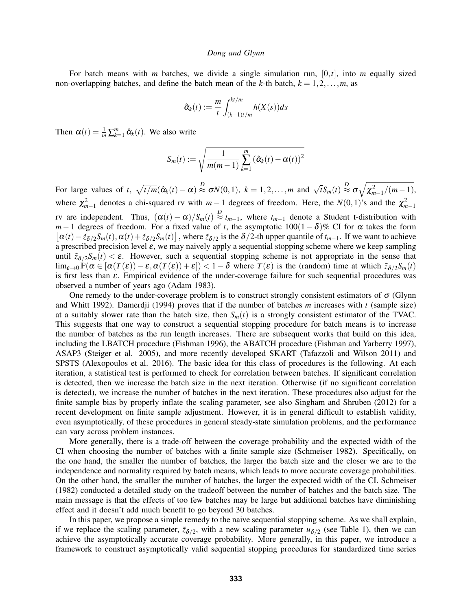For batch means with *m* batches, we divide a single simulation run, [0,*t*], into *m* equally sized non-overlapping batches, and define the batch mean of the *k*-th batch,  $k = 1, 2, \ldots, m$ , as

$$
\hat{\alpha}_k(t) := \frac{m}{t} \int_{(k-1)t/m}^{kt/m} h(X(s))ds
$$

Then  $\alpha(t) = \frac{1}{m} \sum_{k=1}^{m} \hat{\alpha}_k(t)$ . We also write

$$
S_m(t) := \sqrt{\frac{1}{m(m-1)}\sum_{k=1}^m (\hat{\alpha}_k(t) - \alpha(t))^2}
$$

For large values of *t*,  $\sqrt{t/m}(\hat{\alpha}_k(t) - \alpha) \stackrel{D}{\approx} \sigma N(0,1)$ ,  $k = 1, 2, ..., m$  and  $\sqrt{t}S_m(t) \stackrel{D}{\approx} \sigma \sqrt{\chi^2_{m-1}/(m-1)}$ , where  $\chi^2_{m-1}$  denotes a chi-squared rv with  $m-1$  degrees of freedom. Here, the *N*(0,1)'s and the  $\chi^2_{m-1}$ rv are independent. Thus,  $(\alpha(t) - \alpha)/S_m(t) \stackrel{D}{\approx} t_{m-1}$ , where  $t_{m-1}$  denote a Student t-distribution with  $[\alpha(t) - \tilde{z}_{\delta/2}S_m(t), \alpha(t) + \tilde{z}_{\delta/2}S_m(t)]$ , where  $\tilde{z}_{\delta/2}$  is the  $\delta/2$ -th upper quantile of  $t_{m-1}$ . If we want to achieve *m*−1 degrees of freedom. For a fixed value of *t*, the asymptotic  $100(1-\delta)\%$  CI for  $\alpha$  takes the form a prescribed precision level  $\varepsilon$ , we may naively apply a sequential stopping scheme where we keep sampling until  $\tilde{z}_{\delta/2}S_m(t) < \varepsilon$ . However, such a sequential stopping scheme is not appropriate in the sense that  $\lim_{\varepsilon\to 0} \mathbb{P}(\alpha \in [\alpha(T(\varepsilon)) - \varepsilon, \alpha(T(\varepsilon)) + \varepsilon] < 1-\delta$  where  $T(\varepsilon)$  is the (random) time at which  $\tilde{z}_{\delta/2}S_m(t)$ is first less than ε. Empirical evidence of the under-coverage failure for such sequential procedures was observed a number of years ago [\(Adam 1983\)](#page-11-5).

One remedy to the under-coverage problem is to construct strongly consistent estimators of  $\sigma$  [\(Glynn](#page-11-6) [and Whitt 1992\)](#page-11-6). [Damerdji \(1994\)](#page-11-7) proves that if the number of batches *m* increases with *t* (sample size) at a suitably slower rate than the batch size, then  $S_m(t)$  is a strongly consistent estimator of the TVAC. This suggests that one way to construct a sequential stopping procedure for batch means is to increase the number of batches as the run length increases. There are subsequent works that build on this idea, including the LBATCH procedure [\(Fishman 1996\)](#page-11-8), the ABATCH procedure [\(Fishman and Yarberry 1997\)](#page-11-9), ASAP3 [\(Steiger et al. 2005\)](#page-11-10), and more recently developed SKART [\(Tafazzoli and Wilson 2011\)](#page-11-11) and SPSTS [\(Alexopoulos et al. 2016\)](#page-11-12). The basic idea for this class of procedures is the following. At each iteration, a statistical test is performed to check for correlation between batches. If significant correlation is detected, then we increase the batch size in the next iteration. Otherwise (if no significant correlation is detected), we increase the number of batches in the next iteration. These procedures also adjust for the finite sample bias by properly inflate the scaling parameter, see also [Singham and Shruben \(2012\)](#page-11-13) for a recent development on finite sample adjustment. However, it is in general difficult to establish validity, even asymptotically, of these procedures in general steady-state simulation problems, and the performance can vary across problem instances.

More generally, there is a trade-off between the coverage probability and the expected width of the CI when choosing the number of batches with a finite sample size [\(Schmeiser 1982\)](#page-11-14). Specifically, on the one hand, the smaller the number of batches, the larger the batch size and the closer we are to the independence and normality required by batch means, which leads to more accurate coverage probabilities. On the other hand, the smaller the number of batches, the larger the expected width of the CI. [Schmeiser](#page-11-14) [\(1982\)](#page-11-14) conducted a detailed study on the tradeoff between the number of batches and the batch size. The main message is that the effects of too few batches may be large but additional batches have diminishing effect and it doesn't add much benefit to go beyond 30 batches.

In this paper, we propose a simple remedy to the naive sequential stopping scheme. As we shall explain, if we replace the scaling parameter,  $\tilde{z}_{\delta/2}$ , with a new scaling parameter  $u_{\delta/2}$  (see Table [1\)](#page-7-0), then we can achieve the asymptotically accurate coverage probability. More generally, in this paper, we introduce a framework to construct asymptotically valid sequential stopping procedures for standardized time series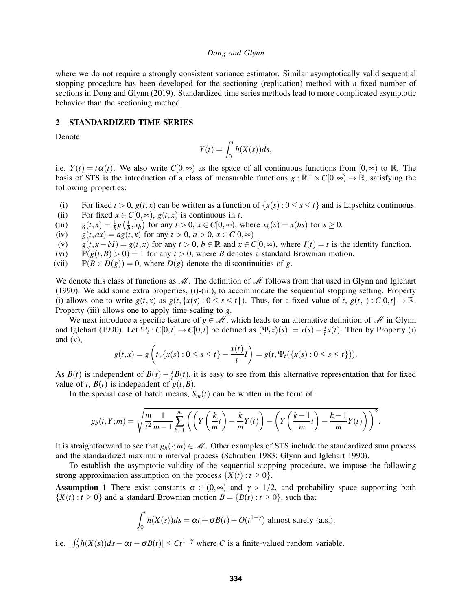where we do not require a strongly consistent variance estimator. Similar asymptotically valid sequential stopping procedure has been developed for the sectioning (replication) method with a fixed number of sections in [Dong and Glynn \(2019\).](#page-11-15) Standardized time series methods lead to more complicated asymptotic behavior than the sectioning method.

# <span id="page-2-1"></span>2 STANDARDIZED TIME SERIES

Denote

$$
Y(t) = \int_0^t h(X(s))ds,
$$

i.e.  $Y(t) = t\alpha(t)$ . We also write  $C[0,\infty)$  as the space of all continuous functions from  $[0,\infty)$  to R. The basis of STS is the introduction of a class of measurable functions  $g : \mathbb{R}^+ \times C[0, \infty) \to \mathbb{R}$ , satisfying the following properties:

- (i) For fixed  $t > 0$ ,  $g(t, x)$  can be written as a function of  $\{x(s) : 0 \le s \le t\}$  and is Lipschitz continuous.
- (ii) For fixed  $x \in C[0,\infty)$ ,  $g(t,x)$  is continuous in *t*.
- (iii)  $g(t,x) = \frac{1}{h}g\left(\frac{t}{h}\right)$  $\frac{t}{h}$ ,  $x_h$ ) for any  $t > 0$ ,  $x \in C[0, \infty)$ , where  $x_h(s) = x(hs)$  for  $s \ge 0$ .
- (iv)  $g(t, ax) = ag(t, x)$  for any  $t > 0$ ,  $a > 0$ ,  $x \in C[0, \infty)$
- (v)  $g(t, x-bI) = g(t, x)$  for any  $t > 0$ ,  $b \in \mathbb{R}$  and  $x \in C[0, \infty)$ , where  $I(t) = t$  is the identity function.
- (vi)  $\mathbb{P}(g(t, B) > 0) = 1$  for any  $t > 0$ , where *B* denotes a standard Brownian motion.
- (vii)  $\mathbb{P}(B \in D(g)) = 0$ , where  $D(g)$  denote the discontinuities of *g*.

We denote this class of functions as  $\mathcal M$ . The definition of  $\mathcal M$  follows from that used in [Glynn and Iglehart](#page-11-4) [\(1990\).](#page-11-4) We add some extra properties, (i)-(iii), to accommodate the sequential stopping setting. Property (i) allows one to write  $g(t, x)$  as  $g(t, \{x(s): 0 \le s \le t\})$ . Thus, for a fixed value of  $t, g(t, \cdot): C[0, t] \to \mathbb{R}$ . Property (iii) allows one to apply time scaling to *g*.

We next introduce a specific feature of  $g \in \mathcal{M}$ , which leads to an alternative definition of  $\mathcal{M}$  in [Glynn](#page-11-4) [and Iglehart \(1990\).](#page-11-4) Let  $\Psi_t$ :  $C[0,t] \to C[0,t]$  be defined as  $(\Psi_t x)(s) := x(s) - \frac{s}{t}$  $\frac{s}{t}x(t)$ . Then by Property (i) and  $(v)$ ,

$$
g(t,x) = g\left(t, \{x(s): 0 \le s \le t\} - \frac{x(t)}{t}I\right) = g(t, \Psi_t(\{x(s): 0 \le s \le t\})).
$$

As *B*(*t*) is independent of *B*(*s*) –  $\frac{s}{t}$  $\frac{s}{t}B(t)$ , it is easy to see from this alternative representation that for fixed value of *t*,  $B(t)$  is independent of  $g(t, B)$ .

In the special case of batch means,  $S_m(t)$  can be written in the form of

$$
g_b(t,Y;m) = \sqrt{\frac{m}{t^2} \frac{1}{m-1} \sum_{k=1}^m \left( \left( Y\left(\frac{k}{m}t\right) - \frac{k}{m} Y(t) \right) - \left( Y\left(\frac{k-1}{m}t\right) - \frac{k-1}{m} Y(t) \right) \right)^2}.
$$

It is straightforward to see that  $g_b(\cdot; m) \in \mathcal{M}$ . Other examples of STS include the standardized sum process and the standardized maximum interval process [\(Schruben 1983;](#page-11-3) [Glynn and Iglehart 1990\)](#page-11-4).

To establish the asymptotic validity of the sequential stopping procedure, we impose the following strong approximation assumption on the process  $\{X(t): t \geq 0\}$ .

<span id="page-2-0"></span>**Assumption 1** There exist constants  $\sigma \in (0, \infty)$  and  $\gamma > 1/2$ , and probability space supporting both  ${X(t): t > 0}$  and a standard Brownian motion  $B = {B(t): t > 0}$ , such that

$$
\int_0^t h(X(s))ds = \alpha t + \sigma B(t) + O(t^{1-\gamma})
$$
 almost surely (a.s.),

i.e.  $| \int_0^t h(X(s)) ds - \alpha t - \sigma B(t) | \leq C t^{1-\gamma}$  where *C* is a finite-valued random variable.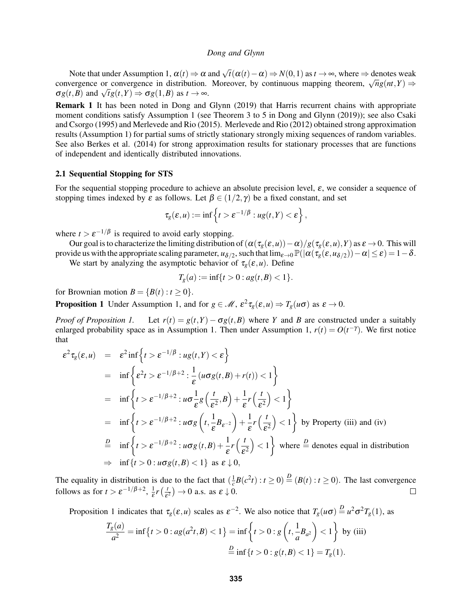Note that under Assumption [1,](#page-2-0)  $\alpha(t) \Rightarrow \alpha$  and  $\sqrt{t}(\alpha(t) - \alpha) \Rightarrow N(0, 1)$  as  $t \to \infty$ , where  $\Rightarrow$  denotes weak Note that under Assumption 1,  $\alpha(t) \Rightarrow \alpha$  and  $\gamma t(\alpha(t) - \alpha) \Rightarrow N(0, 1)$  as  $t \to \infty$ , where  $\Rightarrow$  denotes weak convergence or convergence in distribution. Moreover, by continuous mapping theorem,  $\sqrt{n}g(nt, Y) \Rightarrow$  $σg(t, B)$  and  $√t g(t, Y) ⇒ σg(1, B)$  as  $t → ∞$ .

Remark 1 It has been noted in [Dong and Glynn \(2019\)](#page-11-15) that Harris recurrent chains with appropriate moment conditions satisfy Assumption [1](#page-2-0) (see Theorem 3 to 5 in [Dong and Glynn \(2019\)\)](#page-11-15); see also [Csaki](#page-11-16) [and Csorgo \(1995\)](#page-11-16) and [Merlevede and Rio \(2015\).](#page-11-17) [Merlevede and Rio \(2012\)](#page-11-18) obtained strong approximation results (Assumption [1\)](#page-2-0) for partial sums of strictly stationary strongly mixing sequences of random variables. See also [Berkes et al. \(2014\)](#page-11-19) for strong approximation results for stationary processes that are functions of independent and identically distributed innovations.

## 2.1 Sequential Stopping for STS

For the sequential stopping procedure to achieve an absolute precision level, ε, we consider a sequence of stopping times indexed by  $\varepsilon$  as follows. Let  $\beta \in (1/2, \gamma)$  be a fixed constant, and set

$$
\tau_g(\varepsilon, u) := \inf \left\{ t > \varepsilon^{-1/\beta} : ug(t, Y) < \varepsilon \right\},\,
$$

where  $t > \varepsilon^{-1/\beta}$  is required to avoid early stopping.

Our goal is to characterize the limiting distribution of  $(\alpha(\tau_g(\varepsilon,u))-\alpha)/g(\tau_g(\varepsilon,u),Y)$  as  $\varepsilon \to 0$ . This will provide us with the appropriate scaling parameter,  $u_{\delta/2}$ , such that  $\lim_{\varepsilon\to 0} \mathbb{P}(|\alpha(\tau_g(\varepsilon,u_{\delta/2}))-\alpha|\leq \varepsilon)=1-\delta$ .

We start by analyzing the asymptotic behavior of  $\tau_g(\varepsilon, u)$ . Define

$$
T_g(a) := \inf\{t > 0 : ag(t, B) < 1\}.
$$

for Brownian motion  $B = \{B(t) : t \geq 0\}.$ 

<span id="page-3-0"></span>**Proposition 1** Under Assumption [1,](#page-2-0) and for  $g \in \mathcal{M}$ ,  $\epsilon^2 \tau_g(\epsilon, u) \Rightarrow T_g(u\sigma)$  as  $\epsilon \to 0$ .

*Proof of Proposition [1.](#page-3-0)* Let  $r(t) = g(t, Y) - \sigma g(t, B)$  where *Y* and *B* are constructed under a suitably enlarged probability space as in Assumption [1.](#page-2-0) Then under Assumption [1,](#page-2-0)  $r(t) = O(t^{-\gamma})$ . We first notice that

$$
\varepsilon^{2}\tau_{g}(\varepsilon, u) = \varepsilon^{2} \inf \left\{ t > \varepsilon^{-1/\beta} : ug(t, Y) < \varepsilon \right\}
$$
  
\n
$$
= \inf \left\{ \varepsilon^{2} t > \varepsilon^{-1/\beta + 2} : \frac{1}{\varepsilon} (u \sigma g(t, B) + r(t)) < 1 \right\}
$$
  
\n
$$
= \inf \left\{ t > \varepsilon^{-1/\beta + 2} : u \sigma \frac{1}{\varepsilon} g\left(\frac{t}{\varepsilon^{2}}, B\right) + \frac{1}{\varepsilon} r\left(\frac{t}{\varepsilon^{2}}\right) < 1 \right\}
$$
  
\n
$$
= \inf \left\{ t > \varepsilon^{-1/\beta + 2} : u \sigma g\left(t, \frac{1}{\varepsilon} B_{\varepsilon^{-2}}\right) + \frac{1}{\varepsilon} r\left(\frac{t}{\varepsilon^{2}}\right) < 1 \right\} \text{ by Property (iii) and (iv)}
$$
  
\n
$$
\stackrel{D}{=} \inf \left\{ t > \varepsilon^{-1/\beta + 2} : u \sigma g(t, B) + \frac{1}{\varepsilon} r\left(\frac{t}{\varepsilon^{2}}\right) < 1 \right\} \text{ where } \stackrel{D}{=} \text{ denotes equal in distribution}
$$
  
\n
$$
\Rightarrow \inf \left\{ t > 0 : u \sigma g(t, B) < 1 \right\} \text{ as } \varepsilon \downarrow 0,
$$

The equality in distribution is due to the fact that  $(\frac{1}{c}B(c^2t): t \ge 0) \stackrel{D}{=} (B(t): t \ge 0)$ . The last convergence follows as for  $t > \varepsilon^{-1/\beta+2}$ ,  $\frac{1}{\varepsilon}$  $\frac{1}{\varepsilon}r\left(\frac{t}{\varepsilon}\right)$  $\frac{t}{\varepsilon^2}$   $\to$  0 a.s. as  $\varepsilon \downarrow$  0.  $\Box$ 

Proposition [1](#page-3-0) indicates that  $\tau_g(\varepsilon, u)$  scales as  $\varepsilon^{-2}$ . We also notice that  $T_g(u\sigma) \stackrel{D}{=} u^2\sigma^2 T_g(1)$ , as

$$
\frac{T_g(a)}{a^2} = \inf \{ t > 0 : ag(a^2t, B) < 1 \} = \inf \left\{ t > 0 : g\left(t, \frac{1}{a}B_{a^2}\right) < 1 \right\} \text{ by (iii)}
$$

$$
\stackrel{D}{=} \inf \{ t > 0 : g(t, B) < 1 \} = T_g(1).
$$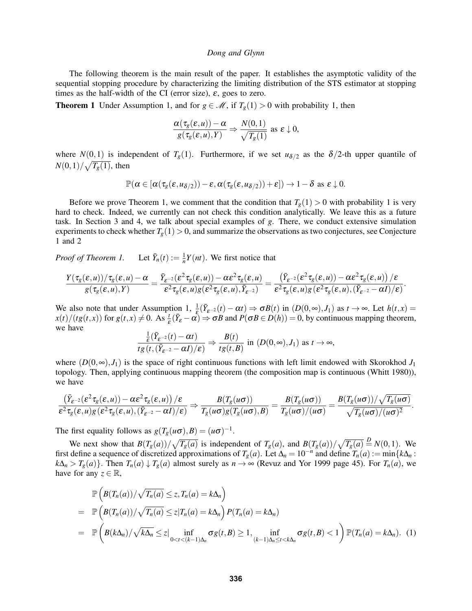The following theorem is the main result of the paper. It establishes the asymptotic validity of the sequential stopping procedure by characterizing the limiting distribution of the STS estimator at stopping times as the half-width of the CI (error size),  $\varepsilon$ , goes to zero.

<span id="page-4-0"></span>**Theorem 1** Under Assumption [1,](#page-2-0) and for  $g \in \mathcal{M}$ , if  $T_g(1) > 0$  with probability 1, then

$$
\frac{\alpha(\tau_g(\varepsilon,u))-\alpha}{g(\tau_g(\varepsilon,u),Y)}\Rightarrow\frac{N(0,1)}{\sqrt{T_g(1)}}\text{ as }\varepsilon\downarrow0,
$$

where  $N(0,1)$  is independent of  $T_g(1)$ . Furthermore, if we set  $u_{\delta/2}$  as the  $\delta/2$ -th upper quantile of  $N(0,1)/\sqrt{T_g(1)}$ , then

$$
\mathbb{P}(\alpha\in[\alpha(\tau_g(\varepsilon,u_{\delta/2}))-\varepsilon,\alpha(\tau_g(\varepsilon,u_{\delta/2}))+\varepsilon])\to 1-\delta \text{ as } \varepsilon\downarrow 0.
$$

Before we prove Theorem [1,](#page-4-0) we comment that the condition that  $T_g(1) > 0$  with probability 1 is very hard to check. Indeed, we currently can not check this condition analytically. We leave this as a future task. In Section [3](#page-5-0) and [4,](#page-8-0) we talk about special examples of *g*. There, we conduct extensive simulation experiments to check whether  $T_g(1) > 0$ , and summarize the observations as two conjectures, see Conjecture [1](#page-6-0) and [2](#page-8-1)

*Proof of Theorem [1.](#page-4-0)*  $Y_n(t) := \frac{1}{n} Y(nt)$ . We first notice that

$$
\frac{Y(\tau_g(\varepsilon,u))/\tau_g(\varepsilon,u)-\alpha}{g(\tau_g(\varepsilon,u),Y)}=\frac{\bar Y_{\varepsilon^{-2}}(\varepsilon^2\tau_g(\varepsilon,u))-\alpha\varepsilon^2\tau_g(\varepsilon,u)}{\varepsilon^2\tau_g(\varepsilon,u)g(\varepsilon^2\tau_g(\varepsilon,u),\bar Y_{\varepsilon^{-2}})}=\frac{\left(\bar Y_{\varepsilon^{-2}}(\varepsilon^2\tau_g(\varepsilon,u))-\alpha\varepsilon^2\tau_g(\varepsilon,u)\right)/\varepsilon}{\varepsilon^2\tau_g(\varepsilon,u)g(\varepsilon^2\tau_g(\varepsilon,u),(\bar Y_{\varepsilon^{-2}}-\alpha I)/\varepsilon)}.
$$

We also note that under Assumption [1,](#page-2-0)  $\frac{1}{s}$  $\frac{1}{\xi}(\overline{Y}_{\xi^{-2}}(t) - \alpha t) \Rightarrow \sigma B(t)$  in  $(D(0, \infty), J_1)$  as  $t \to \infty$ . Let  $h(t, x) =$  $x(t)/(tg(t,x))$  for  $g(t,x) \neq 0$ . As  $\frac{t}{\varepsilon}(\bar{Y}_{\varepsilon} - \alpha) \Rightarrow \sigma B$  and  $P(\sigma B \in D(h)) = 0$ , by continuous mapping theorem, we have

$$
\frac{\frac{1}{\varepsilon}(\bar{Y}_{\varepsilon^{-2}}(t) - \alpha t)}{tg(t, (\bar{Y}_{\varepsilon^{-2}} - \alpha I)/\varepsilon)} \Rightarrow \frac{B(t)}{tg(t, B)} \text{ in } (D(0, \infty), J_1) \text{ as } t \to \infty,
$$

where  $(D(0, \infty), J_1)$  is the space of right continuous functions with left limit endowed with Skorokhod  $J_1$ topology. Then, applying continuous mapping theorem (the composition map is continuous [\(Whitt 1980\)](#page-11-20)), we have

$$
\frac{\left(\bar{Y}_{\varepsilon^{-2}}(\varepsilon^2 \tau_g(\varepsilon, u)) - \alpha \varepsilon^2 \tau_g(\varepsilon, u)\right)/\varepsilon}{\varepsilon^2 \tau_g(\varepsilon, u)g(\varepsilon^2 \tau_g(\varepsilon, u), (\bar{Y}_{\varepsilon^{-2}} - \alpha I)/\varepsilon)} \Rightarrow \frac{B(T_g(u\sigma))}{T_g(u\sigma)g(T_g(u\sigma), B)} = \frac{B(T_g(u\sigma))}{T_g(u\sigma)/(u\sigma)} = \frac{B(T_g(u\sigma))/\sqrt{T_g(u\sigma)}}{\sqrt{T_g(u\sigma)/(u\sigma)^2}}.
$$

The first equality follows as  $g(T_g(u\sigma),B) = (u\sigma)^{-1}$ .

We next show that  $B(T_g(a))/\sqrt{T_g(a)}$  is independent of  $T_g(a)$ , and  $B(T_g(a))/\sqrt{T_g(a)} \stackrel{D}{=} N(0,1)$ . We first define a sequence of discretized approximations of  $T_g(a)$ . Let  $\Delta_n = 10^{-n}$  and define  $T_n(a) := \min\{k\Delta_n :$  $k\Delta_n > T_g(a)$ . Then  $T_n(a) \downarrow T_g(a)$  almost surely as  $n \to \infty$  [\(Revuz and Yor 1999](#page-11-21) page 45). For  $T_n(a)$ , we have for any  $z \in \mathbb{R}$ ,

<span id="page-4-1"></span>
$$
\mathbb{P}\left(B(T_n(a))/\sqrt{T_n(a)} \leq z, T_n(a) = k\Delta_n\right)
$$
\n
$$
= \mathbb{P}\left(B(T_n(a))/\sqrt{T_n(a)} \leq z | T_n(a) = k\Delta_n\right) P(T_n(a) = k\Delta_n)
$$
\n
$$
= \mathbb{P}\left(B(k\Delta_n)/\sqrt{k\Delta_n} \leq z | \inf_{0 < t < (k-1)\Delta_n} \sigma g(t, B) \geq 1, \inf_{(k-1)\Delta_n \leq t < k\Delta_n} \sigma g(t, B) < 1\right) \mathbb{P}(T_n(a) = k\Delta_n). \quad (1)
$$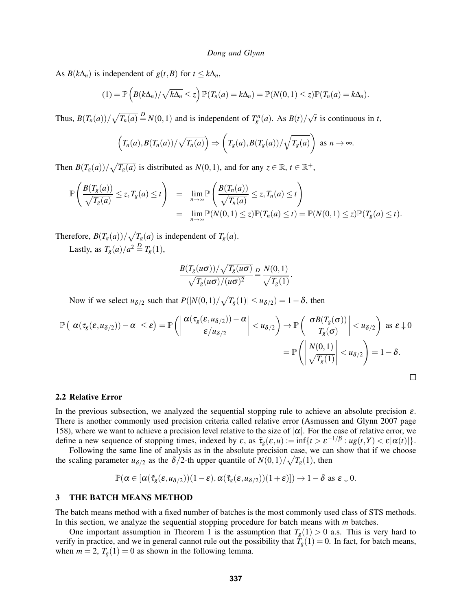As  $B(k\Delta_n)$  is independent of  $g(t, B)$  for  $t \leq k\Delta_n$ ,

$$
(1) = \mathbb{P}\left(B(k\Delta_n)/\sqrt{k\Delta_n} \leq z\right)\mathbb{P}(T_n(a) = k\Delta_n) = \mathbb{P}(N(0,1) \leq z)\mathbb{P}(T_n(a) = k\Delta_n).
$$

Thus,  $B(T_n(a))/\sqrt{T_n(a)} \stackrel{D}{=} N(0,1)$  and is independent of  $T_g^n(a)$ . As  $B(t)/\sqrt{T_n(a)}$ √ *t* is continuous in *t*,

$$
\left(T_n(a), B(T_n(a))/\sqrt{T_n(a)}\right) \Rightarrow \left(T_g(a), B(T_g(a))/\sqrt{T_g(a)}\right) \text{ as } n \to \infty.
$$

Then  $B(T_g(a))/\sqrt{T_g(a)}$  is distributed as  $N(0,1)$ , and for any  $z \in \mathbb{R}$ ,  $t \in \mathbb{R}^+$ ,

$$
\mathbb{P}\left(\frac{B(T_g(a))}{\sqrt{T_g(a)}} \le z, T_g(a) \le t\right) = \lim_{n \to \infty} \mathbb{P}\left(\frac{B(T_n(a))}{\sqrt{T_n(a)}} \le z, T_n(a) \le t\right)
$$
  
= 
$$
\lim_{n \to \infty} \mathbb{P}(N(0,1) \le z) \mathbb{P}(T_n(a) \le t) = \mathbb{P}(N(0,1) \le z) \mathbb{P}(T_g(a) \le t).
$$

Therefore,  $B(T_g(a))/\sqrt{T_g(a)}$  is independent of  $T_g(a)$ .

Lastly, as  $T_g(a)/a^2 \stackrel{D}{=} T_g(1)$ ,

$$
\frac{B(T_g(u\sigma))/\sqrt{T_g(u\sigma)}}{\sqrt{T_g(u\sigma)/(u\sigma)^2}} \stackrel{D}{=} \frac{N(0,1)}{\sqrt{T_g(1)}}.
$$

Now if we select  $u_{\delta/2}$  such that  $P(|N(0,1)/\sqrt{T_g(1)}| \le u_{\delta/2}) = 1 - \delta$ , then

$$
\mathbb{P}\left(\left|\alpha(\tau_g(\varepsilon,u_{\delta/2}))-\alpha\right|\leq\varepsilon\right)=\mathbb{P}\left(\left|\frac{\alpha(\tau_g(\varepsilon,u_{\delta/2}))-\alpha}{\varepsilon/u_{\delta/2}}\right|
$$
=\mathbb{P}\left(\left|\frac{N(0,1)}{\sqrt{T_g(1)}}\right|
$$
$$

### 2.2 Relative Error

In the previous subsection, we analyzed the sequential stopping rule to achieve an absolute precision  $\varepsilon$ . There is another commonly used precision criteria called relative error [\(Asmussen and Glynn 2007](#page-11-22) page 158), where we want to achieve a precision level relative to the size of  $|\alpha|$ . For the case of relative error, we define a new sequence of stopping times, indexed by  $\varepsilon$ , as  $\tilde{\tau}_g(\varepsilon, u) := \inf\{t > \varepsilon^{-1/\beta} : ug(t, Y) < \varepsilon |\alpha(t)|\}.$ 

Following the same line of analysis as in the absolute precision case, we can show that if we choose the scaling parameter  $u_{\delta/2}$  as the  $\delta/2$ -th upper quantile of  $N(0,1)/\sqrt{T_g(1)}$ , then

$$
\mathbb{P}(\alpha\in[\alpha(\tilde{\tau}_g(\epsilon,\mathfrak{u}_{\delta/2}))(1-\epsilon),\alpha(\tilde{\tau}_g(\epsilon,\mathfrak{u}_{\delta/2}))(1+\epsilon)])\rightarrow 1-\delta \text{ as } \epsilon\downarrow 0.
$$

## <span id="page-5-0"></span>3 THE BATCH MEANS METHOD

The batch means method with a fixed number of batches is the most commonly used class of STS methods. In this section, we analyze the sequential stopping procedure for batch means with *m* batches.

One important assumption in Theorem [1](#page-4-0) is the assumption that  $T_g(1) > 0$  a.s. This is very hard to verify in practice, and we in general cannot rule out the possibility that  $T_g(1) = 0$ . In fact, for batch means, when  $m = 2$ ,  $T_g(1) = 0$  as shown in the following lemma.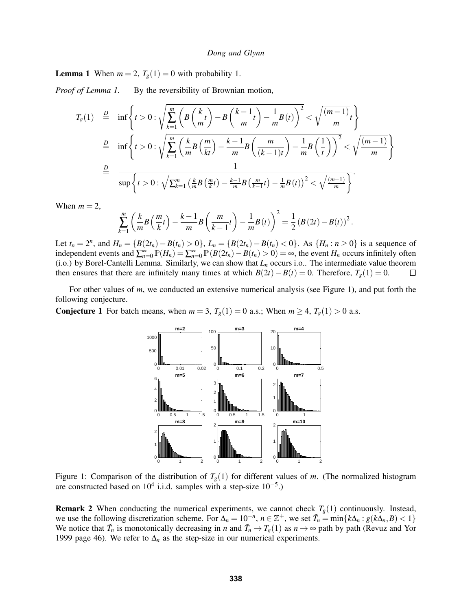<span id="page-6-1"></span>**Lemma 1** When  $m = 2$ ,  $T_g(1) = 0$  with probability 1.

*Proof of Lemma [1.](#page-6-1)* By the reversibility of Brownian motion,

$$
T_g(1) \stackrel{D}{=} \inf \left\{ t > 0 : \sqrt{\sum_{k=1}^m \left( B\left(\frac{k}{m}t\right) - B\left(\frac{k-1}{m}t\right) - \frac{1}{m}B(t) \right)^2} < \sqrt{\frac{(m-1)}{m}t} \right\}
$$
\n
$$
\stackrel{D}{=} \inf \left\{ t > 0 : \sqrt{\sum_{k=1}^m \left( \frac{k}{m}B\left(\frac{m}{kt}\right) - \frac{k-1}{m}B\left(\frac{m}{(k-1)t}\right) - \frac{1}{m}B\left(\frac{1}{t}\right) \right)^2} < \sqrt{\frac{(m-1)}{m}} \right\}
$$
\n
$$
\stackrel{D}{=} \sup \left\{ t > 0 : \sqrt{\sum_{k=1}^m \left( \frac{k}{m}B\left(\frac{m}{k}t\right) - \frac{k-1}{m}B\left(\frac{m}{k-1}t\right) - \frac{1}{m}B(t) \right)^2} < \sqrt{\frac{(m-1)}{m}} \right\}.
$$

When  $m = 2$ ,

$$
\sum_{k=1}^{m} \left( \frac{k}{m} B \left( \frac{m}{k} t \right) - \frac{k-1}{m} B \left( \frac{m}{k-1} t \right) - \frac{1}{m} B(t) \right)^2 = \frac{1}{2} \left( B(2t) - B(t) \right)^2.
$$

Let  $t_n = 2^n$ , and  $H_n = \{B(2t_n) - B(t_n) > 0\}$ ,  $L_n = \{B(2t_n) - B(t_n) < 0\}$ . As  $\{H_n : n \ge 0\}$  is a sequence of *n*dependent events and  $\sum_{n=0}^{\infty} \mathbb{P}(H_n) = \sum_{n=0}^{\infty} \mathbb{P}(B(2t_n) - B(t_n) > 0) = \infty$ , the event *H<sub>n</sub>* occurs infinitely often (i.o.) by Borel-Cantelli Lemma. Similarly, we can show that *L<sup>n</sup>* occurs i.o.. The intermediate value theorem then ensures that there are infinitely many times at which  $B(2t) - B(t) = 0$ . Therefore,  $T_g(1) = 0$ .  $\Box$ 

For other values of *m*, we conducted an extensive numerical analysis (see Figure [1\)](#page-6-2), and put forth the following conjecture.

<span id="page-6-2"></span><span id="page-6-0"></span>**Conjecture 1** For batch means, when  $m = 3$ ,  $T_g(1) = 0$  a.s.; When  $m \ge 4$ ,  $T_g(1) > 0$  a.s.



Figure 1: Comparison of the distribution of  $T_g(1)$  for different values of *m*. (The normalized histogram are constructed based on  $10^4$  i.i.d. samples with a step-size  $10^{-5}$ .)

**Remark 2** When conducting the numerical experiments, we cannot check  $T_g(1)$  continuously. Instead, we use the following discretization scheme. For  $\Delta_n = 10^{-n}$ ,  $n \in \mathbb{Z}^+$ , we set  $\tilde{T}_n = \min\{k\Delta_n : g(k\Delta_n, B) < 1\}$ We notice that  $\tilde{T}_n$  is monotonically decreasing in *n* and  $\tilde{T}_n \to T_g(1)$  as  $n \to \infty$  path by path [\(Revuz and Yor](#page-11-21) [1999](#page-11-21) page 46). We refer to  $\Delta_n$  as the step-size in our numerical experiments.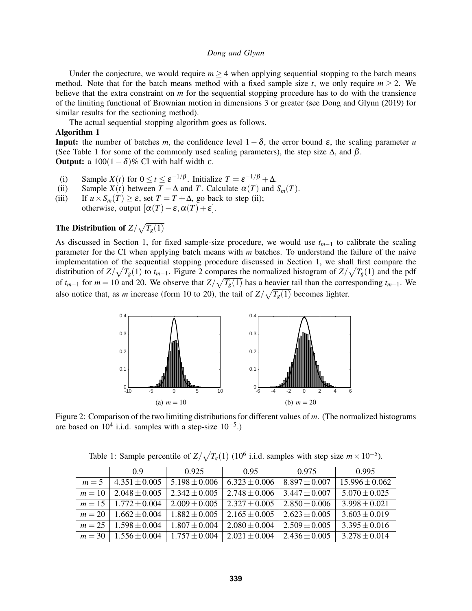Under the conjecture, we would require  $m \geq 4$  when applying sequential stopping to the batch means method. Note that for the batch means method with a fixed sample size *t*, we only require  $m \geq 2$ . We believe that the extra constraint on *m* for the sequential stopping procedure has to do with the transience of the limiting functional of Brownian motion in dimensions 3 or greater (see [Dong and Glynn \(2019\)](#page-11-15) for similar results for the sectioning method).

The actual sequential stopping algorithm goes as follows.

### Algorithm 1

**Input:** the number of batches *m*, the confidence level  $1 - \delta$ , the error bound  $\varepsilon$ , the scaling parameter *u* (See Table [1](#page-7-0) for some of the commonly used scaling parameters), the step size  $\Delta$ , and  $\beta$ . **Output:** a  $100(1-\delta)\%$  CI with half width  $\varepsilon$ .

- (i) Sample *X*(*t*) for  $0 \le t \le \varepsilon^{-1/\beta}$ . Initialize  $T = \varepsilon^{-1/\beta} + \Delta$ .
- (ii) Sample  $X(t)$  between  $T \Delta$  and *T*. Calculate  $\alpha(T)$  and  $S_m(T)$ .
- (iii) If  $u \times S_m(T) \ge \varepsilon$ , set  $T = T + \Delta$ , go back to step (ii);
	- otherwise, output  $[\alpha(T) \varepsilon, \alpha(T) + \varepsilon]$ .

# The Distribution of  $Z/\sqrt{T_g(1)}$

As discussed in Section [1,](#page-0-0) for fixed sample-size procedure, we would use *tm*−<sup>1</sup> to calibrate the scaling parameter for the CI when applying batch means with *m* batches. To understand the failure of the naive implementation of the sequential stopping procedure discussed in Section [1,](#page-0-0) we shall first compare the distribution of  $Z/\sqrt{T_g(1)}$  to  $t_{m-1}$ . Figure [2](#page-7-1) compares the normalized histogram of  $Z/\sqrt{T_g(1)}$  and the pdf of  $t_{m-1}$  for  $m = 10$  and 20. We observe that  $Z/\sqrt{T_g(1)}$  has a heavier tail than the corresponding  $t_{m-1}$ . We also notice that, as *m* increase (form 10 to 20), the tail of  $Z/\sqrt{T_g(1)}$  becomes lighter.

<span id="page-7-1"></span>

<span id="page-7-0"></span>Figure 2: Comparison of the two limiting distributions for different values of *m*. (The normalized histograms are based on  $10^4$  i.i.d. samples with a step-size  $10^{-5}$ .)

|          | 09                | 0.925             | 0.95              | 0.975             | 0.995             |
|----------|-------------------|-------------------|-------------------|-------------------|-------------------|
| $m=5$    | $4.351 \pm 0.005$ | $5.198 + 0.006$   | $6.323 \pm 0.006$ | $8.897 \pm 0.007$ | $15.996 + 0.062$  |
| $m=10$   | $2.048 \pm 0.005$ | $2.342 + 0.005$   | $2.748 + 0.006$   | $3.447 \pm 0.007$ | $5.070 \pm 0.025$ |
| $m=15$   | $1.772 + 0.004$   | $2.009 + 0.005$   | $2.327 + 0.005$   | $2.850 + 0.006$   | $3.998 \pm 0.021$ |
| $m = 20$ | $1.662 + 0.004$   | $1.882 + 0.005$   | $2.165 + 0.005$   | $2.623 \pm 0.005$ | $3.603 \pm 0.019$ |
| $m = 25$ | $1.598 + 0.004$   | $1.807 \pm 0.004$ | $2.080 \pm 0.004$ | $2.509 \pm 0.005$ | $3.395 \pm 0.016$ |
| $m = 30$ | $1.556 + 0.004$   | $1.757 + 0.004$   | $2.021 + 0.004$   | $2.436 + 0.005$   | $3.278 + 0.014$   |

Table 1: Sample percentile of  $Z/\sqrt{T_g(1)}$  (10<sup>6</sup> i.i.d. samples with step size  $m \times 10^{-5}$ ).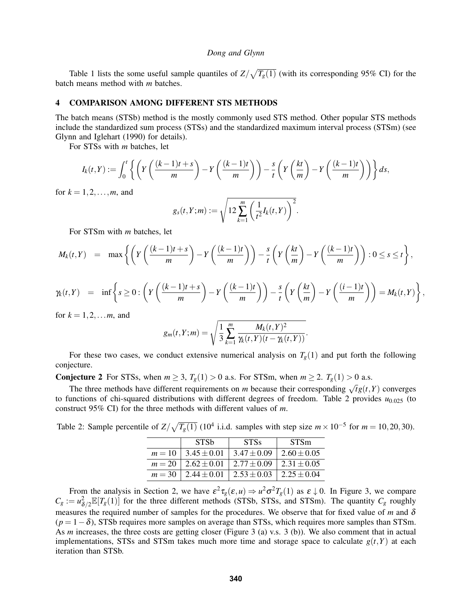Table [1](#page-7-0) lists the some useful sample quantiles of  $Z/\sqrt{T_g(1)}$  (with its corresponding 95% CI) for the batch means method with *m* batches.

## <span id="page-8-0"></span>4 COMPARISON AMONG DIFFERENT STS METHODS

The batch means (STSb) method is the mostly commonly used STS method. Other popular STS methods include the standardized sum process (STSs) and the standardized maximum interval process (STSm) (see [Glynn and Iglehart \(1990\)](#page-11-4) for details).

For STSs with *m* batches, let

$$
I_k(t,Y) := \int_0^t \left\{ \left( Y\left( \frac{(k-1)t+s}{m} \right) - Y\left( \frac{(k-1)t}{m} \right) \right) - \frac{s}{t} \left( Y\left( \frac{kt}{m} \right) - Y\left( \frac{(k-1)t}{m} \right) \right) \right\} ds,
$$

for  $k = 1, 2, ..., m$ , and

$$
g_s(t,Y;m) := \sqrt{12 \sum_{k=1}^m \left(\frac{1}{t^2} I_k(t,Y)\right)^2}.
$$

For STSm with *m* batches, let

$$
M_k(t,Y) = \max \left\{ \left( Y\left( \frac{(k-1)t+s}{m} \right) - Y\left( \frac{(k-1)t}{m} \right) \right) - \frac{s}{t} \left( Y\left( \frac{kt}{m} \right) - Y\left( \frac{(k-1)t}{m} \right) \right) : 0 \le s \le t \right\},\
$$

$$
\gamma_k(t,Y) = \inf \left\{ s \geq 0 : \left( Y\left( \frac{(k-1)t+s}{m} \right) - Y\left( \frac{(k-1)t}{m} \right) \right) - \frac{s}{t} \left( Y\left( \frac{kt}{m} \right) - Y\left( \frac{(i-1)t}{m} \right) \right) = M_k(t,Y) \right\},\
$$

for  $k = 1, 2, \ldots, m$ , and

$$
g_m(t,Y;m) = \sqrt{\frac{1}{3} \sum_{k=1}^m \frac{M_k(t,Y)^2}{\gamma_k(t,Y)(t-\gamma_k(t,Y))}}.
$$

For these two cases, we conduct extensive numerical analysis on  $T_g(1)$  and put forth the following conjecture.

<span id="page-8-1"></span>**Conjecture 2** For STSs, when  $m \geq 3$ ,  $T_g(1) > 0$  a.s. For STSm, when  $m \geq 2$ .  $T_g(1) > 0$  a.s.

The three methods have different requirements on *m* because their corresponding  $\sqrt{t}g(t, Y)$  converges to functions of chi-squared distributions with different degrees of freedom. Table [2](#page-8-2) provides  $u_{0.025}$  (to construct 95% CI) for the three methods with different values of *m*.

<span id="page-8-2"></span>Table 2: Sample percentile of  $Z/\sqrt{T_g(1)}$  (10<sup>4</sup> i.i.d. samples with step size  $m \times 10^{-5}$  for  $m = 10, 20, 30$ ).

| <b>STSb</b>                                                    | <b>STSs</b>     | <b>STSm</b>     |
|----------------------------------------------------------------|-----------------|-----------------|
| $m = 10 \mid 3.45 \pm 0.01$                                    | $3.47 \pm 0.09$ | $2.60 \pm 0.05$ |
| $m = 20 \mid 2.62 \pm 0.01$                                    | 2.77 $\pm$ 0.09 | 2.31 $\pm$ 0.05 |
| $m = 30$   2.44 $\pm$ 0.01   2.53 $\pm$ 0.03   2.25 $\pm$ 0.04 |                 |                 |

From the analysis in Section [2,](#page-2-1) we have  $\varepsilon^2 \tau_g(\varepsilon, u) \Rightarrow u^2 \sigma^2 T_g(1)$  as  $\varepsilon \downarrow 0$ . In Figure [3,](#page-9-0) we compare  $C_g := u_{\delta/2}^2 \mathbb{E}[T_g(1)]$  for the three different methods (STSb, STSs, and STSm). The quantity  $C_g$  roughly measures the required number of samples for the procedures. We observe that for fixed value of *m* and δ  $(p = 1 - \delta)$ , STSb requires more samples on average than STSs, which requires more samples than STSm. As *m* increases, the three costs are getting closer (Figure [3](#page-9-0) (a) v.s. [3](#page-9-0) (b)). We also comment that in actual implementations, STSs and STSm takes much more time and storage space to calculate  $g(t, Y)$  at each iteration than STSb.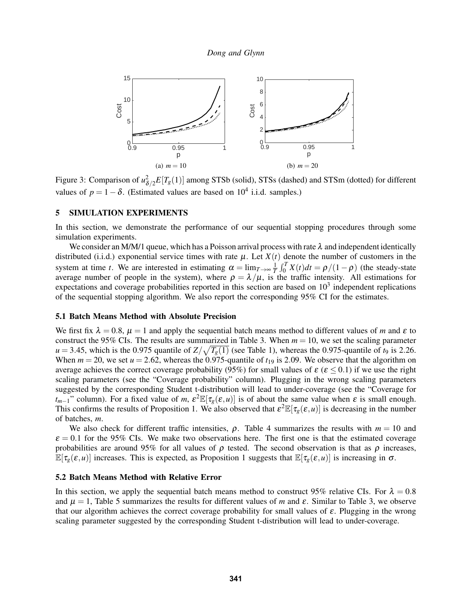<span id="page-9-0"></span>

Figure 3: Comparison of  $u_{\delta/2}^2 E[T_g(1)]$  among STSb (solid), STSs (dashed) and STSm (dotted) for different values of  $p = 1 - \delta$ . (Estimated values are based on 10<sup>4</sup> i.i.d. samples.)

# 5 SIMULATION EXPERIMENTS

In this section, we demonstrate the performance of our sequential stopping procedures through some simulation experiments.

We consider an M/M/1 queue, which has a Poisson arrival process with rate  $\lambda$  and independent identically distributed (i.i.d.) exponential service times with rate  $\mu$ . Let  $X(t)$  denote the number of customers in the system at time *t*. We are interested in estimating  $\alpha = \lim_{T \to \infty} \frac{1}{T} \int_0^T X(t) dt = \rho/(1-\rho)$  (the steady-state average number of people in the system), where  $\rho = \lambda/\mu$ , is the traffic intensity. All estimations for expectations and coverage probabilities reported in this section are based on  $10<sup>3</sup>$  independent replications of the sequential stopping algorithm. We also report the corresponding 95% CI for the estimates.

## 5.1 Batch Means Method with Absolute Precision

We first fix  $\lambda = 0.8$ ,  $\mu = 1$  and apply the sequential batch means method to different values of *m* and  $\varepsilon$  to construct the 95% CIs. The results are summarized in Table [3.](#page-10-0) When  $m = 10$ , we set the scaling parameter  $u = 3.45$ , which is the 0.975 quantile of  $Z/\sqrt{T_g(1)}$  $Z/\sqrt{T_g(1)}$  $Z/\sqrt{T_g(1)}$  (see Table 1), whereas the 0.975-quantile of *t*<sub>9</sub> is 2.26. When  $m = 20$ , we set  $u = 2.62$ , whereas the 0.975-quantile of  $t_{19}$  is 2.09. We observe that the algorithm on average achieves the correct coverage probability (95%) for small values of  $\varepsilon$  ( $\varepsilon$  < 0.1) if we use the right scaling parameters (see the "Coverage probability" column). Plugging in the wrong scaling parameters suggested by the corresponding Student t-distribution will lead to under-coverage (see the "Coverage for *t*<sub>*m*−1</sub>" column). For a fixed value of *m*,  $\epsilon^2 \mathbb{E}[\tau_g(\epsilon, u)]$  is of about the same value when  $\epsilon$  is small enough. This confirms the results of Proposition [1.](#page-3-0) We also observed that  $\varepsilon^2 \mathbb{E}[\tau_g(\varepsilon, u)]$  is decreasing in the number of batches, *m*.

We also check for different traffic intensities,  $\rho$ . Table [4](#page-10-1) summarizes the results with  $m = 10$  and  $\varepsilon = 0.1$  for the 95% CIs. We make two observations here. The first one is that the estimated coverage probabilities are around 95% for all values of  $\rho$  tested. The second observation is that as  $\rho$  increases,  $\mathbb{E}[\tau_{g}(\varepsilon, u)]$  increases. This is expected, as Proposition [1](#page-3-0) suggests that  $\mathbb{E}[\tau_{g}(\varepsilon, u)]$  is increasing in  $\sigma$ .

### 5.2 Batch Means Method with Relative Error

In this section, we apply the sequential batch means method to construct 95% relative CIs. For  $\lambda = 0.8$ and  $\mu = 1$ , Table [5](#page-10-2) summarizes the results for different values of *m* and  $\varepsilon$ . Similar to Table [3,](#page-10-0) we observe that our algorithm achieves the correct coverage probability for small values of  $\varepsilon$ . Plugging in the wrong scaling parameter suggested by the corresponding Student t-distribution will lead to under-coverage.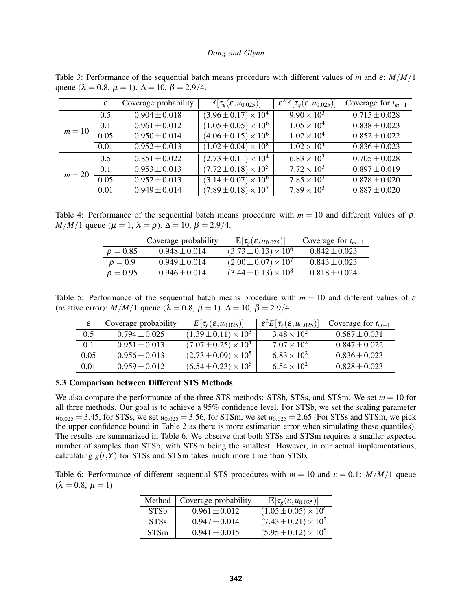<span id="page-10-0"></span>Table 3: Performance of the sequential batch means procedure with different values of *m* and ε: *M*/*M*/1 queue ( $\lambda = 0.8$ ,  $\mu = 1$ ).  $\Delta = 10$ ,  $\beta = 2.9/4$ .

|          | $\varepsilon$ | Coverage probability | $\mathbb{E}[\tau_{g}(\varepsilon, u_{0.025})]$ | $\mathcal{E}^2\mathbb{E}[\tau_{g}(\mathcal{E},u_{0.025})]$ | Coverage for $t_{m-1}$       |
|----------|---------------|----------------------|------------------------------------------------|------------------------------------------------------------|------------------------------|
|          | 0.5           | $0.904 \pm 0.018$    | $(3.96 \pm 0.17) \times 10^4$                  | $9.90 \times 10^{3}$                                       | $\overline{0.7}15 \pm 0.028$ |
| $m=10$   | 0.1           | $0.961 \pm 0.012$    | $(1.05 \pm 0.05) \times 10^6$                  | $1.05 \times 10^4$                                         | $0.838 \pm 0.023$            |
|          | 0.05          | $0.950 \pm 0.014$    | $(4.06 \pm 0.15) \times 10^6$                  | $1.02 \times 10^{4}$                                       | $0.852 \pm 0.022$            |
|          | 0.01          | $0.952 \pm 0.013$    | $(1.02 \pm 0.04) \times 10^8$                  | $1.02 \times 10^{4}$                                       | $0.836 \pm 0.023$            |
|          | 0.5           | $0.851 \pm 0.022$    | $(2.73 \pm 0.11) \times 10^4$                  | $6.83 \times 10^{3}$                                       | $0.705 \pm 0.028$            |
| $m = 20$ | 0.1           | $0.953 \pm 0.013$    | $(7.72 \pm 0.18) \times 10^5$                  | $7.72 \times 10^3$                                         | $0.897 \pm 0.019$            |
|          | 0.05          | $0.952 \pm 0.013$    | $(3.14 \pm 0.07) \times 10^6$                  | $7.85 \times 10^3$                                         | $0.878 \pm 0.020$            |
|          | 0.01          | $0.949 \pm 0.014$    | $(7.89 \pm 0.18) \times 10^7$                  | $7.89 \times 10^3$                                         | $0.887 \pm 0.020$            |

<span id="page-10-1"></span>Table 4: Performance of the sequential batch means procedure with  $m = 10$  and different values of  $\rho$ : *M*/*M*/1 queue ( $\mu = 1$ ,  $\lambda = \rho$ ).  $\Delta = 10$ ,  $\beta = 2.9/4$ .

|               | Coverage probability | $\mathbb{E}[\tau_{g}(\varepsilon, u_{0.025})]$ | Coverage for $t_{m-1}$ |
|---------------|----------------------|------------------------------------------------|------------------------|
| $\rho = 0.85$ | $0.948 \pm 0.014$    | $(3.73 \pm 0.13) \times 10^{6}$                | $0.842 \pm 0.023$      |
| $\rho = 0.9$  | $0.949 \pm 0.014$    | $(2.00 \pm 0.07) \times 10^{7}$                | $0.843 \pm 0.023$      |
| $\rho = 0.95$ | $0.946 \pm 0.014$    | $(3.44 \pm 0.13) \times 10^8$                  | $0.818 \pm 0.024$      |

<span id="page-10-2"></span>Table 5: Performance of the sequential batch means procedure with  $m = 10$  and different values of  $\varepsilon$ (relative error): *M*/*M*/1 queue ( $\lambda = 0.8$ ,  $\mu = 1$ ).  $\Delta = 10$ ,  $\beta = 2.9/4$ .

|      | Coverage probability | $E[\tau_{g}(\varepsilon, u_{0.025})]$ | $_{+}\varepsilon ^{2}E[\tau _{g}(\varepsilon ,u_{0.025})]$ | Coverage for $t_{m-1}$ |
|------|----------------------|---------------------------------------|------------------------------------------------------------|------------------------|
| 0.5  | $0.794 \pm 0.025$    | $(1.39 \pm 0.11) \times 10^3$         | $3.48 \times 10^{2}$                                       | $0.587 \pm 0.031$      |
| 0.1  | $0.951 \pm 0.013$    | $(7.07 \pm 0.25) \times 10^4$         | $7.07 \times 10^{2}$                                       | $0.847 \pm 0.022$      |
| 0.05 | $0.956 \pm 0.013$    | $(2.73 \pm 0.09) \times 10^5$         | $6.83 \times 10^{2}$                                       | $0.836 \pm 0.023$      |
| 0.01 | $0.959 \pm 0.012$    | $(6.54 \pm 0.23) \times 10^6$         | $6.54 \times 10^{2}$                                       | $0.828 \pm 0.023$      |

## 5.3 Comparison between Different STS Methods

We also compare the performance of the three STS methods: STSb, STSs, and STSm. We set  $m = 10$  for all three methods. Our goal is to achieve a 95% confidence level. For STSb, we set the scaling parameter  $u_{0.025} = 3.45$ , for STSs, we set  $u_{0.025} = 3.56$ , for STSm, we set  $u_{0.025} = 2.65$  (For STSs and STSm, we pick the upper confidence bound in Table [2](#page-8-2) as there is more estimation error when simulating these quantiles). The results are summarized in Table [6.](#page-10-3) We observe that both STSs and STSm requires a smaller expected number of samples than STSb, with STSm being the smallest. However, in our actual implementations, calculating  $g(t, Y)$  for STSs and STSm takes much more time than STSb.

<span id="page-10-3"></span>Table 6: Performance of different sequential STS procedures with  $m = 10$  and  $\varepsilon = 0.1$ :  $M/M/1$  queue  $(\lambda = 0.8, u = 1)$ 

| Method                 | Coverage probability | $\mathbb{E}[\tau_{g}(\varepsilon, u_{0.025})]$ |
|------------------------|----------------------|------------------------------------------------|
| <b>STS<sub>b</sub></b> | $0.961 \pm 0.012$    | $(1.05 \pm 0.05) \times 10^6$                  |
| <b>STSs</b>            | $0.947 \pm 0.014$    | $(7.43 \pm 0.21) \times 10^5$                  |
| <b>STSm</b>            | $0.941 \pm 0.015$    | $(5.95 \pm 0.12) \times 10^5$                  |